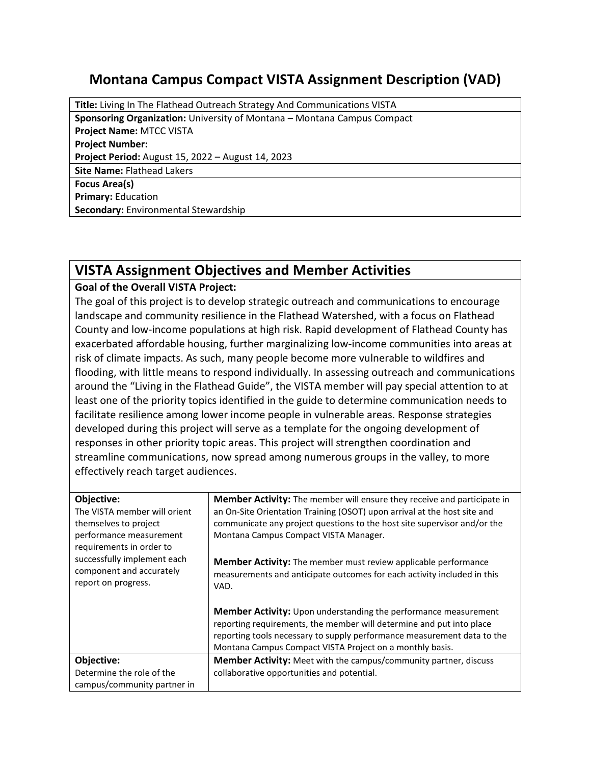## **Montana Campus Compact VISTA Assignment Description (VAD)**

**Title:** Living In The Flathead Outreach Strategy And Communications VISTA **Sponsoring Organization:** University of Montana – Montana Campus Compact **Project Name:** MTCC VISTA **Project Number: Project Period:** August 15, 2022 – August 14, 2023 **Site Name:** Flathead Lakers **Focus Area(s) Primary:** Education **Secondary:** Environmental Stewardship

## **VISTA Assignment Objectives and Member Activities**

## **Goal of the Overall VISTA Project:**

The goal of this project is to develop strategic outreach and communications to encourage landscape and community resilience in the Flathead Watershed, with a focus on Flathead County and low-income populations at high risk. Rapid development of Flathead County has exacerbated affordable housing, further marginalizing low-income communities into areas at risk of climate impacts. As such, many people become more vulnerable to wildfires and flooding, with little means to respond individually. In assessing outreach and communications around the "Living in the Flathead Guide", the VISTA member will pay special attention to at least one of the priority topics identified in the guide to determine communication needs to facilitate resilience among lower income people in vulnerable areas. Response strategies developed during this project will serve as a template for the ongoing development of responses in other priority topic areas. This project will strengthen coordination and streamline communications, now spread among numerous groups in the valley, to more effectively reach target audiences.

| Objective:<br>The VISTA member will orient<br>themselves to project<br>performance measurement<br>requirements in order to | <b>Member Activity:</b> The member will ensure they receive and participate in<br>an On-Site Orientation Training (OSOT) upon arrival at the host site and<br>communicate any project questions to the host site supervisor and/or the<br>Montana Campus Compact VISTA Manager.       |
|----------------------------------------------------------------------------------------------------------------------------|---------------------------------------------------------------------------------------------------------------------------------------------------------------------------------------------------------------------------------------------------------------------------------------|
| successfully implement each<br>component and accurately<br>report on progress.                                             | <b>Member Activity:</b> The member must review applicable performance<br>measurements and anticipate outcomes for each activity included in this<br>VAD.                                                                                                                              |
|                                                                                                                            | <b>Member Activity:</b> Upon understanding the performance measurement<br>reporting requirements, the member will determine and put into place<br>reporting tools necessary to supply performance measurement data to the<br>Montana Campus Compact VISTA Project on a monthly basis. |
| Objective:                                                                                                                 | Member Activity: Meet with the campus/community partner, discuss                                                                                                                                                                                                                      |
| Determine the role of the<br>campus/community partner in                                                                   | collaborative opportunities and potential.                                                                                                                                                                                                                                            |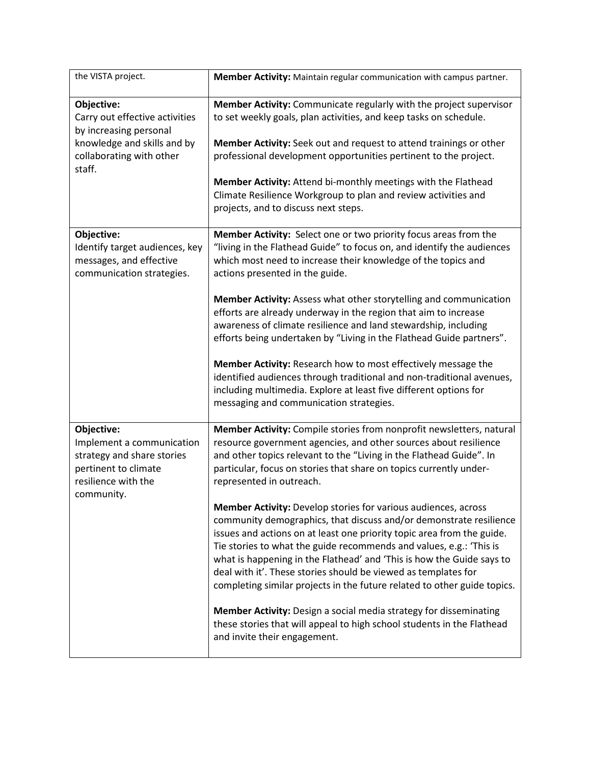| the VISTA project.                                                                                                                          | Member Activity: Maintain regular communication with campus partner.                                                                                                                                                                                                                                                                                                                                                                                                                                                |
|---------------------------------------------------------------------------------------------------------------------------------------------|---------------------------------------------------------------------------------------------------------------------------------------------------------------------------------------------------------------------------------------------------------------------------------------------------------------------------------------------------------------------------------------------------------------------------------------------------------------------------------------------------------------------|
| Objective:<br>Carry out effective activities<br>by increasing personal<br>knowledge and skills and by<br>collaborating with other<br>staff. | Member Activity: Communicate regularly with the project supervisor<br>to set weekly goals, plan activities, and keep tasks on schedule.<br>Member Activity: Seek out and request to attend trainings or other<br>professional development opportunities pertinent to the project.<br>Member Activity: Attend bi-monthly meetings with the Flathead<br>Climate Resilience Workgroup to plan and review activities and                                                                                                |
|                                                                                                                                             | projects, and to discuss next steps.                                                                                                                                                                                                                                                                                                                                                                                                                                                                                |
| Objective:<br>Identify target audiences, key<br>messages, and effective<br>communication strategies.                                        | Member Activity: Select one or two priority focus areas from the<br>"living in the Flathead Guide" to focus on, and identify the audiences<br>which most need to increase their knowledge of the topics and<br>actions presented in the guide.                                                                                                                                                                                                                                                                      |
|                                                                                                                                             | Member Activity: Assess what other storytelling and communication<br>efforts are already underway in the region that aim to increase<br>awareness of climate resilience and land stewardship, including<br>efforts being undertaken by "Living in the Flathead Guide partners".                                                                                                                                                                                                                                     |
|                                                                                                                                             | Member Activity: Research how to most effectively message the<br>identified audiences through traditional and non-traditional avenues,<br>including multimedia. Explore at least five different options for<br>messaging and communication strategies.                                                                                                                                                                                                                                                              |
| Objective:<br>Implement a communication<br>strategy and share stories<br>pertinent to climate<br>resilience with the<br>community.          | Member Activity: Compile stories from nonprofit newsletters, natural<br>resource government agencies, and other sources about resilience<br>and other topics relevant to the "Living in the Flathead Guide". In<br>particular, focus on stories that share on topics currently under-<br>represented in outreach.                                                                                                                                                                                                   |
|                                                                                                                                             | <b>Member Activity:</b> Develop stories for various audiences, across<br>community demographics, that discuss and/or demonstrate resilience<br>issues and actions on at least one priority topic area from the guide.<br>Tie stories to what the guide recommends and values, e.g.: 'This is<br>what is happening in the Flathead' and 'This is how the Guide says to<br>deal with it'. These stories should be viewed as templates for<br>completing similar projects in the future related to other guide topics. |
|                                                                                                                                             | Member Activity: Design a social media strategy for disseminating<br>these stories that will appeal to high school students in the Flathead<br>and invite their engagement.                                                                                                                                                                                                                                                                                                                                         |